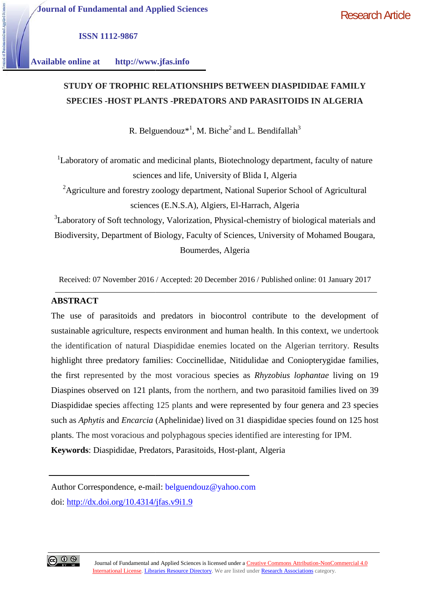Research Article

**ISSN 1112-9867**

**Available online at http://www.jfas.info**

# **STUDY OF TROPHIC RELATIONSHIPS BETWEEN DIASPIDIDAE FAMILY SPECIES -HOST PLANTS -PREDATORS AND PARASITOIDS IN ALGERIA OF TROPHIC -HOST PLANTS**

R. Belguendouz $^{*1}$ , M. Biche<sup>2</sup> and L. Bendifallah<sup>3</sup>

<sup>1</sup>Laboratory of aromatic and medicinal plants, Biotechnology department, faculty of nature sciences and life, University of Blida I, Algeria <sup>1</sup>Laboratory of aromatic and medicinal plants, Biotechnology department, faculty of<br>sciences and life, University of Blida I, Algeria<br><sup>2</sup>Agriculture and forestry zoology department, National Superior School of Agricu<br>scie

<sup>2</sup>Agriculture and forestry zoology department, National Superior School of Agricultural sciences (E.N.S.A), Algiers, El-Harrach, Algeria

 $3$ Laboratory of Soft technology, Valorization, Physical-chemistry of biological materials and Biodiversity, Department of Biology, Faculty of Sciences, University of Mohamed Bougara, Boumerdes, Algeria

Received: 07 November 2016 / Accepted: 20 December 2016 / Published online: 01 January 2017

# **ABSTRACT**

The use of parasitoids and predators in biocontrol contribute to the development of sustainable agriculture, respects environment and human health. In this context, we undertook the identification of natural Diaspididae enemies located on the Algerian territory. Results sustainable agriculture, respects environment and human health. In this context, we undertook<br>the identification of natural Diaspididae enemies located on the Algerian territory. Results<br>highlight three predatory families: the first represented by the most voracious species as *Rhyzobius lophantae* living on 19 Diaspines observed on 121 plants, from the northern, and two parasitoid families lived on 39 Diaspididae species affecting 125 plants and were represented by four genera and 23 species such as *Aphytis* and *Encarcia* (Aphelinidae) lived on 31 diaspididae species found on 125 host plants. The most voracious and polyphagous species identified are interesting for IPM. **Exercise 125 Species 125 species 125 species 125 species 125 species 126 species 126 species 126 specifies 125 specifies 126 specifies 126 specifies 126 specifies 126 specifies 126 specifies 126 specifies 126 specifies 12** most voracious species as *Rhyzobius lophantae* l<br>ants, from the northern, and two parasitoid families<br>125 plants and were represented by four genera an<br>(Aphelinidae) lived on 31 diaspididae species found<br>d polyphagous spe

**Keywords**: Diaspididae, Predators, Parasitoids, Host-plant, Algeria

Author Correspondence, e-mail: belguendouz@yahoo.com doi: http://dx.doi.org/10.4314/jfas.v9i1.9

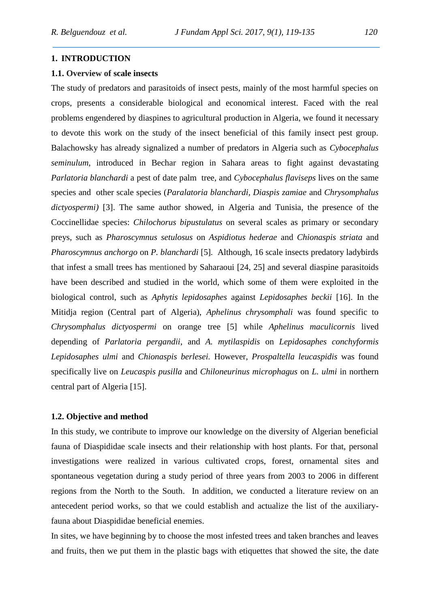#### **1. INTRODUCTION**

#### **1.1. Overview of scale insects**

The study of predators and parasitoids of insect pests, mainly of the most harmful species on crops, presents a considerable biological and economical interest. Faced with the real problems engendered by diaspines to agricultural production in Algeria, we found it necessary to devote this work on the study of the insect beneficial of this family insect pest group. Balachowsky has already signalized a number of predators in Algeria such as *Cybocephalus seminulum*, introduced in Bechar region in Sahara areas to fight against devastating *Parlatoria blanchardi* a pest of date palm tree, and *Cybocephalus flaviseps* lives on the same species and other scale species (*Paralatoria blanchardi, Diaspis zamiae* and *Chrysomphalus dictyospermi)* [3]. The same author showed, in Algeria and Tunisia, the presence of the Coccinellidae species: *Chilochorus bipustulatus* on several scales as primary or secondary preys, such as *Pharoscymnus setulosus* on *Aspidiotus hederae* and *Chionaspis striata* and *Pharoscymnus anchorgo* on *P. blanchardi* [5]*.* Although, 16 scale insects predatory ladybirds that infest a small trees has mentioned by Saharaoui [24, 25] and several diaspine parasitoids have been described and studied in the world, which some of them were exploited in the biological control, such as *Aphytis lepidosaphes* against *Lepidosaphes beckii* [16]. In the Mitidja region (Central part of Algeria), *Aphelinus chrysomphali* was found specific to *Chrysomphalus dictyospermi* on orange tree [5] while *Aphelinus maculicornis* lived depending of *Parlatoria pergandii*, and *A. mytilaspidis* on *Lepidosaphes conchyformis Lepidosaphes ulmi* and *Chionaspis berlesei.* However, *Prospaltella leucaspidis* was found specifically live on *Leucaspis pusilla* and *Chiloneurinus microphagus* on *L. ulmi* in northern central part of Algeria [15].

# **1.2. Objective and method**

In this study, we contribute to improve our knowledge on the diversity of Algerian beneficial fauna of Diaspididae scale insects and their relationship with host plants. For that, personal investigations were realized in various cultivated crops, forest, ornamental sites and spontaneous vegetation during a study period of three years from 2003 to 2006 in different regions from the North to the South. In addition, we conducted a literature review on an antecedent period works, so that we could establish and actualize the list of the auxiliaryfauna about Diaspididae beneficial enemies.

In sites, we have beginning by to choose the most infested trees and taken branches and leaves and fruits, then we put them in the plastic bags with etiquettes that showed the site, the date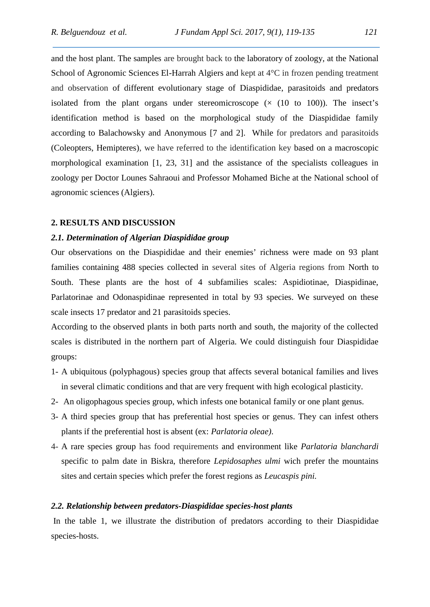and the host plant. The samples are brought back to the laboratory of zoology, at the National School of Agronomic Sciences El-Harrah Algiers and kept at 4°C in frozen pending treatment and observation of different evolutionary stage of Diaspididae, parasitoids and predators isolated from the plant organs under stereomicroscope  $(x (10 to 100))$ . The insect's identification method is based on the morphological study of the Diaspididae family according to Balachowsky and Anonymous [7 and 2]. While for predators and parasitoids (Coleopters, Hemipteres), we have referred to the identification key based on a macroscopic morphological examination [1, 23, 31] and the assistance of the specialists colleagues in zoology per Doctor Lounes Sahraoui and Professor Mohamed Biche at the National school of agronomic sciences (Algiers).

#### **2. RESULTS AND DISCUSSION**

# *2.1. Determination of Algerian Diaspididae group*

Our observations on the Diaspididae and their enemies' richness were made on 93 plant families containing 488 species collected in several sites of Algeria regions from North to South. These plants are the host of 4 subfamilies scales: Aspidiotinae, Diaspidinae, Parlatorinae and Odonaspidinae represented in total by 93 species. We surveyed on these scale insects 17 predator and 21 parasitoids species.

According to the observed plants in both parts north and south, the majority of the collected scales is distributed in the northern part of Algeria. We could distinguish four Diaspididae groups:

- 1- A ubiquitous (polyphagous) species group that affects several botanical families and lives in several climatic conditions and that are very frequent with high ecological plasticity.
- 2- An oligophagous species group, which infests one botanical family or one plant genus.
- 3- A third species group that has preferential host species or genus. They can infest others plants if the preferential host is absent (ex: *Parlatoria oleae)*.
- 4- A rare species group has food requirements and environment like *Parlatoria blanchardi* specific to palm date in Biskra, therefore *Lepidosaphes ulmi* wich prefer the mountains sites and certain species which prefer the forest regions as *Leucaspis pini.*

# *2.2. Relationship between predators-Diaspididae species-host plants*

In the table 1, we illustrate the distribution of predators according to their Diaspididae species-hosts.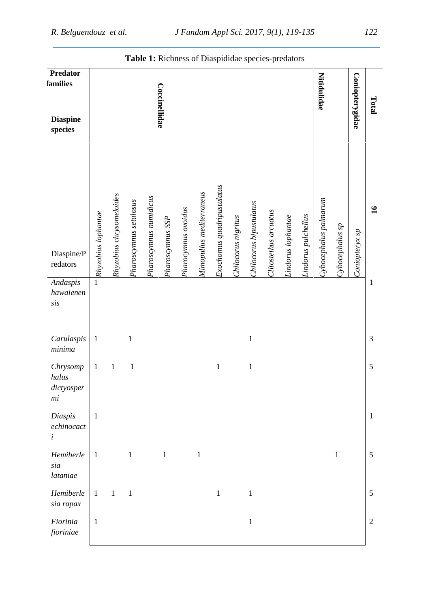|                                        |                     |                          |                        |                        | <b>Table 1:</b> Richness of Diaspididae species-predators |                     |                          |                            |                     |                         |                       |                    |                     |                       |                 |                 |                |
|----------------------------------------|---------------------|--------------------------|------------------------|------------------------|-----------------------------------------------------------|---------------------|--------------------------|----------------------------|---------------------|-------------------------|-----------------------|--------------------|---------------------|-----------------------|-----------------|-----------------|----------------|
| <b>Predator</b><br>families            |                     |                          |                        |                        | Coccinellidae                                             |                     |                          |                            |                     |                         |                       |                    |                     | <b>Nitidulidae</b>    |                 | Coniopterygidae | Total          |
| <b>Diaspine</b><br>species             |                     |                          |                        |                        |                                                           |                     |                          |                            |                     |                         |                       |                    |                     |                       |                 |                 |                |
| Diaspine/P<br>$\rm{redators}$          | Rhyzobius lophantae | Rhyzobius chrysomeloides | Pharoscymnus setulosus | Pharoscymnus numidicus | Pharoscymnus SSP                                          | Pharocymuus ovoidus | Mimopullus mediterraneus | Exochomus quadripustulatus | Chilocorus nigritus | Chilocorus bipustulatus | Clitostethus arcuatus | Lindorus lophantae | Lindorus pulchellus | Cybocephalus palmarum | Cybocephalus sp | Coniopteryx sp  | 16             |
| Andaspis<br>hawaienen<br>$s$ <i>is</i> | $\mathbf{1}$        |                          |                        |                        |                                                           |                     |                          |                            |                     |                         |                       |                    |                     |                       |                 |                 | $\mathbf{1}$   |
| Carulaspis<br>$minima$                 | $\mathbf{1}$        |                          | $\mathbf 1$            |                        |                                                           |                     |                          |                            |                     | $\mathbf{1}$            |                       |                    |                     |                       |                 |                 | 3              |
| Chrysomp<br>halus<br>dictyosper<br>mi  | $\mathbf{1}$        | $\mathbf{1}$             | $\mathbf{1}$           |                        |                                                           |                     |                          | $\mathbf{1}$               |                     | $\mathbf{1}$            |                       |                    |                     |                       |                 |                 | 5              |
| Diaspis<br>echinocact<br>$\dot{i}$     | $\mathbf{1}$        |                          |                        |                        |                                                           |                     |                          |                            |                     |                         |                       |                    |                     |                       |                 |                 | $\mathbf{1}$   |
| Hemiberle<br>sia<br>lataniae           | $\mathbf{1}$        |                          | $\mathbf{1}$           |                        | $\mathbf{1}$                                              |                     | $\mathbf{1}$             |                            |                     |                         |                       |                    |                     |                       | $\mathbf{1}$    |                 | 5              |
| Hemiberle<br>sia rapax                 | $\mathbf{1}$        | $\mathbf{1}$             | $\mathbf{1}$           |                        |                                                           |                     |                          | $\mathbf{1}$               |                     | $\mathbf{1}$            |                       |                    |                     |                       |                 |                 | 5              |
| Fiorinia<br>fioriniae                  | $\mathbf{1}$        |                          |                        |                        |                                                           |                     |                          |                            |                     | $\mathbf{1}$            |                       |                    |                     |                       |                 |                 | $\overline{2}$ |

# **Table 1:** Richness of Diaspididae species-predators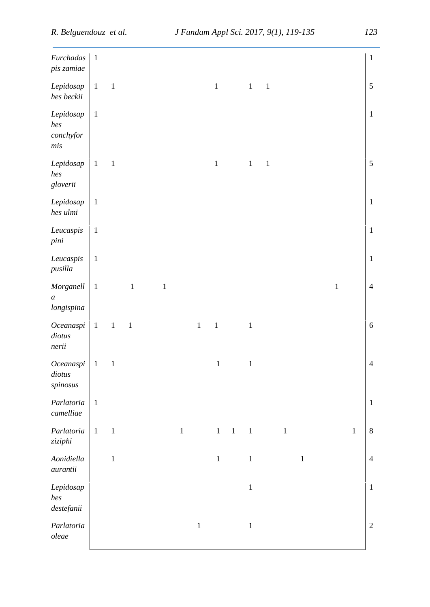| Furchadas<br>pis zamiae                  | $\mathbf{1}$ |             |              |         |              |              |              |              |              |             |              |             |       |              | $\mathbf{1}$   |
|------------------------------------------|--------------|-------------|--------------|---------|--------------|--------------|--------------|--------------|--------------|-------------|--------------|-------------|-------|--------------|----------------|
| Lepidosap<br>hes beckii                  | $\mathbf{1}$ | $\,1\,$     |              |         |              |              | $\mathbf 1$  |              | $\mathbf{1}$ | $\,1\,$     |              |             |       |              | $\mathfrak s$  |
| Lepidosap<br>hes<br>conchy for<br>$m$ is | $\mathbf{1}$ |             |              |         |              |              |              |              |              |             |              |             |       |              | $\,1\,$        |
| Lepidosap<br>hes<br>gloverii             | $\mathbf{1}$ | $\,1\,$     |              |         |              |              | $\,1\,$      |              | $\mathbf{1}$ | $\mathbf 1$ |              |             |       |              | $\sqrt{5}$     |
| Lepidosap<br>hes ulmi                    | $\mathbf{1}$ |             |              |         |              |              |              |              |              |             |              |             |       |              | $\mathbf{1}$   |
| Leucaspis<br>pini                        | $\mathbf{1}$ |             |              |         |              |              |              |              |              |             |              |             |       |              | $\mathbf{1}$   |
| Leucaspis<br>pusilla                     | $\mathbf{1}$ |             |              |         |              |              |              |              |              |             |              |             |       |              | $\mathbf{1}$   |
| Morganell<br>$\boldsymbol{a}$<br>longi   | $\mathbf{1}$ |             | $\,1\,$      | $\,1\,$ |              |              |              |              |              |             |              |             | $\,1$ |              | $\overline{4}$ |
| Oceanaspi<br>diotus<br>nerii             | $\mathbf{1}$ | $\mathbf 1$ | $\mathbf{1}$ |         |              | $\mathbf{1}$ | $\mathbf 1$  |              | $\mathbf 1$  |             |              |             |       |              | $\sqrt{6}$     |
| Oceanaspi<br>diotus<br>spinosus          | $\mathbf{1}$ | $\mathbf 1$ |              |         |              |              | $\mathbf 1$  |              | $\mathbf 1$  |             |              |             |       |              | $\overline{4}$ |
| Parlatoria<br>$\it camelliae$            | $\mathbf{1}$ |             |              |         |              |              |              |              |              |             |              |             |       |              | $\mathbf{1}$   |
| Parlatoria<br>ziziphi                    | $1\,$        | $\,1\,$     |              |         | $\mathbf{1}$ |              | $\mathbf{1}$ | $\mathbf{1}$ | $\mathbf{1}$ |             | $\mathbf{1}$ |             |       | $\mathbf{1}$ | $\,8\,$        |
| Aonidiella<br>aurantii                   |              | $\,1\,$     |              |         |              |              | $\mathbf{1}$ |              | $\mathbf 1$  |             |              | $\mathbf 1$ |       |              | $\overline{4}$ |
| Lepidosap<br>hes<br>$destefanii$         |              |             |              |         |              |              |              |              | $\,1\,$      |             |              |             |       |              | $\,1\,$        |
| Parlatoria<br>$oleae$                    |              |             |              |         |              | $\mathbf{1}$ |              |              | $\mathbf{1}$ |             |              |             |       |              | $\sqrt{2}$     |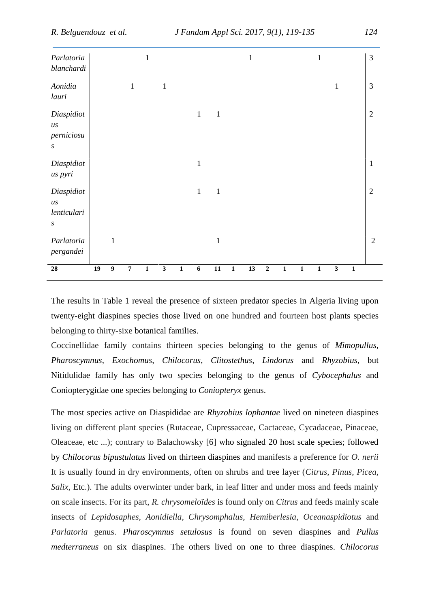| Parlatoria<br>blanchardi                                                        |    |                  |                  | 1           |              |              |                  |              |              | $\mathbf{1}$ |             |              |              | 1            |              |              | 3              |
|---------------------------------------------------------------------------------|----|------------------|------------------|-------------|--------------|--------------|------------------|--------------|--------------|--------------|-------------|--------------|--------------|--------------|--------------|--------------|----------------|
| Aonidia<br>lauri                                                                |    |                  | $\mathbf{1}$     |             | $\,1\,$      |              |                  |              |              |              |             |              |              |              | $\mathbf{1}$ |              | 3              |
| Diaspidiot<br>$\boldsymbol{u}\boldsymbol{s}$<br>perniciosu<br>$\boldsymbol{S}$  |    |                  |                  |             |              |              | $\mathbf{1}$     | $\mathbf{1}$ |              |              |             |              |              |              |              |              | $\overline{2}$ |
| Diaspidiot<br>us pyri                                                           |    |                  |                  |             |              |              | $\mathbf{1}$     |              |              |              |             |              |              |              |              |              | $\mathbf{1}$   |
| Diaspidiot<br>$\boldsymbol{u}\boldsymbol{s}$<br>lenticulari<br>$\boldsymbol{S}$ |    |                  |                  |             |              |              | $\mathbf{1}$     | $\mathbf{1}$ |              |              |             |              |              |              |              |              | $\overline{2}$ |
| Parlatoria<br>pergandei                                                         |    | $\mathbf{1}$     |                  |             |              |              |                  | $\mathbf{1}$ |              |              |             |              |              |              |              |              | $\overline{2}$ |
| 28                                                                              | 19 | $\boldsymbol{9}$ | $\boldsymbol{7}$ | $\mathbf 1$ | $\mathbf{3}$ | $\mathbf{1}$ | $\boldsymbol{6}$ | $11\,$       | $\mathbf{1}$ | 13           | $\mathbf 2$ | $\mathbf{1}$ | $\mathbf{1}$ | $\mathbf{1}$ | $\mathbf{3}$ | $\mathbf{1}$ |                |

The results in Table 1 reveal the presence of sixteen predator species in Algeria living upon twenty-eight diaspines species those lived on one hundred and fourteen host plants species belonging to thirty-sixe botanical families.

Coccinellidae family contains thirteen species belonging to the genus of *Mimopullus*, *Pharoscymnus*, *Exochomus*, *Chilocorus*, *Clitostethus*, *Lindorus* and *Rhyzobius,* but Nitidulidae family has only two species belonging to the genus of *Cybocephalus* and Coniopterygidae one species belonging to *Coniopteryx* genus.

The most species active on Diaspididae are *Rhyzobius lophantae* lived on nineteen diaspines living on different plant species (Rutaceae, Cupressaceae, Cactaceae, Cycadaceae, Pinaceae, Oleaceae, etc ...); contrary to Balachowsky [6] who signaled 20 host scale species; followed by *Chilocorus bipustulatus* lived on thirteen diaspines and manifests a preference for *O. nerii* It is usually found in dry environments, often on shrubs and tree layer (*Citrus, Pinus, Picea, Salix*, Etc.). The adults overwinter under bark, in leaf litter and under moss and feeds mainly on scale insects. For its part, *R. chrysomeloïdes* is found only on *Citrus* and feeds mainly scale insects of *Lepidosaphes, Aonidiella, Chrysomphalus, Hemiberlesia, Oceanaspidiotus* and *Parlatoria* genus. *Pharoscymnus setulosus* is found on seven diaspines and *Pullus medterraneus* on six diaspines. The others lived on one to three diaspines. *Chilocorus*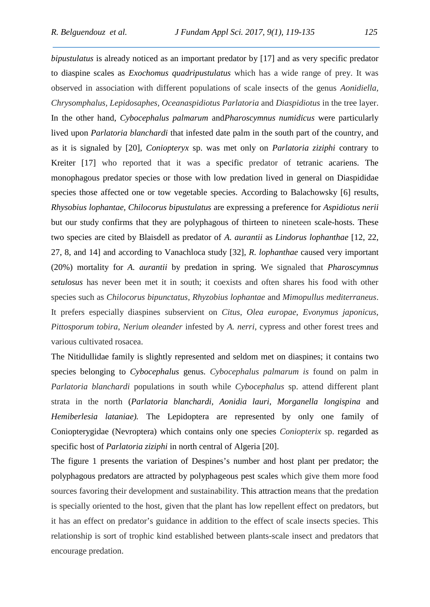*bipustulatus* is already noticed as an important predator by [17] and as very specific predator to diaspine scales as *Exochomus quadripustulatus* which has a wide range of prey. It was observed in association with different populations of scale insects of the genus *Aonidiella, Chrysomphalus, Lepidosaphes, Oceanaspidiotus Parlatoria* and *Diaspidiotus* in the tree layer. In the other hand, *Cybocephalus palmarum* and*Pharoscymnus numidicus* were particularly lived upon *Parlatoria blanchardi* that infested date palm in the south part of the country, and as it is signaled by [20], *Coniopteryx* sp. was met only on *Parlatoria ziziphi* contrary to Kreiter [17] who reported that it was a specific predator of tetranic acariens. The monophagous predator species or those with low predation lived in general on Diaspididae species those affected one or tow vegetable species. According to Balachowsky [6] results, *Rhysobius lophantae, Chilocorus bipustulatus* are expressing a preference for *Aspidiotus nerii* but our study confirms that they are polyphagous of thirteen to nineteen scale-hosts. These two species are cited by Blaisdell as predator of *A. aurantii* as *Lindorus lophanthae* [12, 22, 27, 8, and 14] and according to Vanachloca study [32], *R. lophanthae* caused very important (20%) mortality for *A. aurantii* by predation in spring. We signaled that *Pharoscymnus setulosus* has never been met it in south; it coexists and often shares his food with other species such as *Chilocorus bipunctatus, Rhyzobius lophantae* and *Mimopullus mediterraneus*. It prefers especially diaspines subservient on *Citus*, *Olea europae*, *Evonymus japonicus*, *Pittosporum tobira*, *Nerium oleander* infested by *A. nerri*, cypress and other forest trees and various cultivated rosacea.

The Nitidullidae family is slightly represented and seldom met on diaspines; it contains two species belonging to *Cybocephalus* genus. *Cybocephalus palmarum is* found on palm in *Parlatoria blanchardi* populations in south while *Cybocephalus* sp. attend different plant strata in the north (*Parlatoria blanchardi, Aonidia lauri, Morganella longispina* and *Hemiberlesia lataniae).* The Lepidoptera are represented by only one family of Coniopterygidae (Nevroptera) which contains only one species *Coniopterix* sp. regarded as specific host of *Parlatoria ziziphi* in north central of Algeria [20].

The figure 1 presents the variation of Despines's number and host plant per predator; the polyphagous predators are attracted by polyphageous pest scales which give them more food sources favoring their development and sustainability. This attraction means that the predation is specially oriented to the host, given that the plant has low repellent effect on predators, but it has an effect on predator's guidance in addition to the effect of scale insects species. This relationship is sort of trophic kind established between plants-scale insect and predators that encourage predation.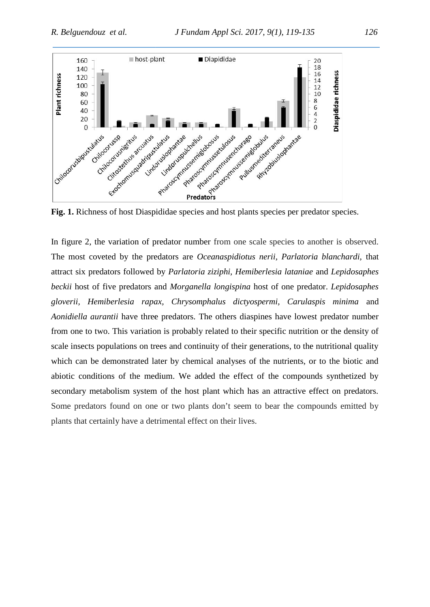

In figure 2, the variation of predator number from one scale species to another is observed. The most coveted by the predators are *Oceanaspidiotus nerii, Parlatoria blanchardi,* that In figure 2, the variation of predator number from one scale species to another is observed.<br>The most coveted by the predators are *Oceanaspidiotus nerii, Parlatoria blanchardi*, that<br>attract six predators followed by *Pa* beckii host of five predators and *Morganella longispina* host of one predator. *Lepidosaphes gloverii, Hemiberlesia rapax, Chrysomphalus dictyospermi, Carulaspis minima* and *Carulaspis Aonidiella aurantii* have three predators. The others diaspines have lowest predator number Aonidiella aurantii have three predators. The others diaspines have lowest predator number<br>from one to two. This variation is probably related to their specific nutrition or the density of scale insects populations on trees and continuity of their generations, to the nutritional quality which can be demonstrated later by chemical analyses of the nutrients, or to the biotic and abiotic conditions of the medium. We added the effect of the compounds synthetized by scale insects populations on trees and continuity of their generations, to the nutritional quality<br>which can be demonstrated later by chemical analyses of the nutrients, or to the biotic and<br>abiotic conditions of the mediu Some predators found on one or two plants don't seem to bear the compounds emitted by plants that certainly have a detrimental effect on their lives. abiotic conditions of the medium. We<br>secondary metabolism system of the ho<br>Some predators found on one or two p<br>plants that certainly have a detrimental ef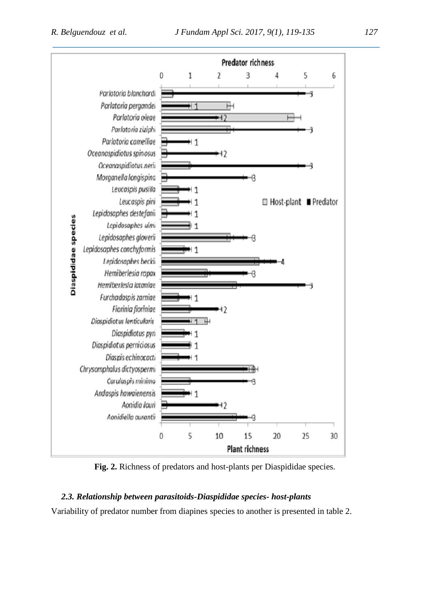

Fig. 2. Richness of predators and host-plants per Diaspididae species.

# *2.3. Relationship between parasitoids-Diaspididae species- host-plants*

Variability of predator number from diapines species to another is presented in table 2.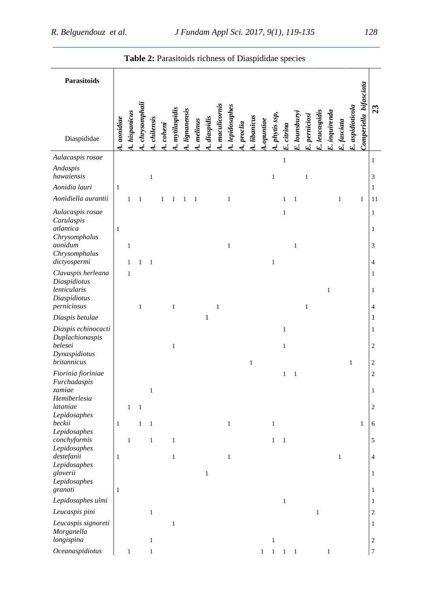| Parasitoids<br>Comperiella bifasciata<br>chrysomphali<br>maculicornis<br>E. aspidioticola<br>4. lepidosaphes<br>23<br>mytilaspidis<br>lignanensis<br>leucaspidis<br>E. inquirenda<br>hispanicus<br>E. lounsburyi<br>phytis ssp,<br>perniciosi<br>1. libanicus<br>diaspidis<br>chilensis<br>A. aonidiae<br>A.opuntiae<br>melinus<br>E. fasciata<br>procia<br>coheni<br>E. citrina<br>Diaspididae<br>E.<br>.<br>أب<br>E.<br>Aulacaspis rosae<br>$\,1\,$<br>1<br>Andaspis<br>hawaiensis<br>$\,1\,$<br>$\mathbf{1}$<br>3<br>$\mathbf{1}$<br>Aonidia lauri<br>$\mathbf{1}$<br>$\mathbf{1}$<br>Aonidiella aurantii<br>$\mathbf{1}$<br>$\mathbf{1}$<br>$\mathbf{1}$<br>$\mathbf{1}$<br>$\mathbf{1}$<br>$\mathbf{1}$<br>$\mathbf{1}$<br>11<br>1<br>$\mathbf{1}$<br>-1<br>1<br>Aulacaspis rosae<br>$\mathbf{1}$<br>$\mathbf{1}$<br>Carulaspis<br>atlantica<br>$\mathbf{1}$<br>1<br>Chrysomphalus<br>aonidum<br>3<br>$\mathbf{1}$<br>$\mathbf{1}$<br>1<br>Chrysomphalus<br>dictyospermi<br>$\mathbf{1}$<br>$\mathbf{1}$<br>4<br>$\mathbf{1}$<br>1<br>Clavaspis herleana<br>1<br>1<br>Diaspidiotus<br>lenticularis<br>$\mathbf{1}$<br>1<br>Diaspidiotus<br>perniciosus<br>$\mathbf{1}$<br>$\mathbf{1}$<br>$\mathbf{1}$<br>$\overline{4}$<br>1<br>$\mathbf 1$<br>Diaspis betulae<br>$\mathbf{1}$<br>Diaspis echinocacti<br>$\mathbf{1}$<br>1<br>Duplachionaspis<br>belesei<br>$\overline{c}$<br>$\mathbf{1}$<br>$\mathbf{1}$<br>Dynaspidiotus<br>britannicus<br>$\mathbf{1}$<br>$\sqrt{2}$<br>$\mathbf{1}$<br>Fiorinia fioriniae<br>$\sqrt{2}$<br>$\mathbf{1}$<br>$\mathbf{1}$<br>Furchadaspis<br>zamiae<br>$\,1\,$<br>$\mathbf{1}$<br>Hemiberlesia<br>lataniae<br>$\mathbf{1}$<br>$\mathbf{1}$<br>$\overline{c}$<br>Lepidosaphes<br>beckii<br>$\mathbf{1}$<br>$\mathbf{1}$<br>$\mathbf{1}$<br>$\mathbf{1}$<br>$\mathbf{1}$<br>1<br>6<br>Lepidosaphes<br>conchyformis<br>$\,1$<br>$\sqrt{5}$<br>$\mathbf{1}$<br>$\mathbf{1}$<br>$\mathbf{1}$<br>$\overline{1}$<br>Lepidosaphes<br>destefanii<br>$\mathbf{1}$<br>$\mathbf{1}$<br>$\mathbf{1}$<br>$\mathbf{1}$<br>$\overline{4}$<br>Lepidosaphes<br>gloverii<br>$\,1$<br>$\mathbf{1}$<br>Lepidosaphes<br>granati<br>$\mathbf{1}$<br>$\mathbf{1}$<br>Lepidosaphes ulmi<br>$\mathbf{1}$<br>$\mathbf{1}$<br>$\,1\,$<br>Leucaspis pini<br>$\mathbf{1}$<br>$\sqrt{2}$<br>Leucaspis signoreti<br>$\,1$<br>$\mathbf{1}$<br>Morganella<br>longispina<br>$\mathbf{1}$<br>$\overline{2}$<br>1<br>$\boldsymbol{7}$<br>Oceanaspidiotus<br>$\,1$<br>$\mathbf{1}$<br>$\mathbf{1}$<br>$\mathbf{1}$<br>$\mathbf{1}$<br>$\mathbf{1}$<br>$\mathbf{1}$ |  |  |  |  |  |  |  |  |  |  |  |  |  |
|-----------------------------------------------------------------------------------------------------------------------------------------------------------------------------------------------------------------------------------------------------------------------------------------------------------------------------------------------------------------------------------------------------------------------------------------------------------------------------------------------------------------------------------------------------------------------------------------------------------------------------------------------------------------------------------------------------------------------------------------------------------------------------------------------------------------------------------------------------------------------------------------------------------------------------------------------------------------------------------------------------------------------------------------------------------------------------------------------------------------------------------------------------------------------------------------------------------------------------------------------------------------------------------------------------------------------------------------------------------------------------------------------------------------------------------------------------------------------------------------------------------------------------------------------------------------------------------------------------------------------------------------------------------------------------------------------------------------------------------------------------------------------------------------------------------------------------------------------------------------------------------------------------------------------------------------------------------------------------------------------------------------------------------------------------------------------------------------------------------------------------------------------------------------------------------------------------------------------------------------------------------------------------------------------------------------------------------------------------------------------------------------------------------------------------------------------------------------------------------------------------------------------------------------------------------------------|--|--|--|--|--|--|--|--|--|--|--|--|--|
|                                                                                                                                                                                                                                                                                                                                                                                                                                                                                                                                                                                                                                                                                                                                                                                                                                                                                                                                                                                                                                                                                                                                                                                                                                                                                                                                                                                                                                                                                                                                                                                                                                                                                                                                                                                                                                                                                                                                                                                                                                                                                                                                                                                                                                                                                                                                                                                                                                                                                                                                                                       |  |  |  |  |  |  |  |  |  |  |  |  |  |
|                                                                                                                                                                                                                                                                                                                                                                                                                                                                                                                                                                                                                                                                                                                                                                                                                                                                                                                                                                                                                                                                                                                                                                                                                                                                                                                                                                                                                                                                                                                                                                                                                                                                                                                                                                                                                                                                                                                                                                                                                                                                                                                                                                                                                                                                                                                                                                                                                                                                                                                                                                       |  |  |  |  |  |  |  |  |  |  |  |  |  |
|                                                                                                                                                                                                                                                                                                                                                                                                                                                                                                                                                                                                                                                                                                                                                                                                                                                                                                                                                                                                                                                                                                                                                                                                                                                                                                                                                                                                                                                                                                                                                                                                                                                                                                                                                                                                                                                                                                                                                                                                                                                                                                                                                                                                                                                                                                                                                                                                                                                                                                                                                                       |  |  |  |  |  |  |  |  |  |  |  |  |  |
|                                                                                                                                                                                                                                                                                                                                                                                                                                                                                                                                                                                                                                                                                                                                                                                                                                                                                                                                                                                                                                                                                                                                                                                                                                                                                                                                                                                                                                                                                                                                                                                                                                                                                                                                                                                                                                                                                                                                                                                                                                                                                                                                                                                                                                                                                                                                                                                                                                                                                                                                                                       |  |  |  |  |  |  |  |  |  |  |  |  |  |
|                                                                                                                                                                                                                                                                                                                                                                                                                                                                                                                                                                                                                                                                                                                                                                                                                                                                                                                                                                                                                                                                                                                                                                                                                                                                                                                                                                                                                                                                                                                                                                                                                                                                                                                                                                                                                                                                                                                                                                                                                                                                                                                                                                                                                                                                                                                                                                                                                                                                                                                                                                       |  |  |  |  |  |  |  |  |  |  |  |  |  |
|                                                                                                                                                                                                                                                                                                                                                                                                                                                                                                                                                                                                                                                                                                                                                                                                                                                                                                                                                                                                                                                                                                                                                                                                                                                                                                                                                                                                                                                                                                                                                                                                                                                                                                                                                                                                                                                                                                                                                                                                                                                                                                                                                                                                                                                                                                                                                                                                                                                                                                                                                                       |  |  |  |  |  |  |  |  |  |  |  |  |  |
|                                                                                                                                                                                                                                                                                                                                                                                                                                                                                                                                                                                                                                                                                                                                                                                                                                                                                                                                                                                                                                                                                                                                                                                                                                                                                                                                                                                                                                                                                                                                                                                                                                                                                                                                                                                                                                                                                                                                                                                                                                                                                                                                                                                                                                                                                                                                                                                                                                                                                                                                                                       |  |  |  |  |  |  |  |  |  |  |  |  |  |
|                                                                                                                                                                                                                                                                                                                                                                                                                                                                                                                                                                                                                                                                                                                                                                                                                                                                                                                                                                                                                                                                                                                                                                                                                                                                                                                                                                                                                                                                                                                                                                                                                                                                                                                                                                                                                                                                                                                                                                                                                                                                                                                                                                                                                                                                                                                                                                                                                                                                                                                                                                       |  |  |  |  |  |  |  |  |  |  |  |  |  |
|                                                                                                                                                                                                                                                                                                                                                                                                                                                                                                                                                                                                                                                                                                                                                                                                                                                                                                                                                                                                                                                                                                                                                                                                                                                                                                                                                                                                                                                                                                                                                                                                                                                                                                                                                                                                                                                                                                                                                                                                                                                                                                                                                                                                                                                                                                                                                                                                                                                                                                                                                                       |  |  |  |  |  |  |  |  |  |  |  |  |  |
|                                                                                                                                                                                                                                                                                                                                                                                                                                                                                                                                                                                                                                                                                                                                                                                                                                                                                                                                                                                                                                                                                                                                                                                                                                                                                                                                                                                                                                                                                                                                                                                                                                                                                                                                                                                                                                                                                                                                                                                                                                                                                                                                                                                                                                                                                                                                                                                                                                                                                                                                                                       |  |  |  |  |  |  |  |  |  |  |  |  |  |
|                                                                                                                                                                                                                                                                                                                                                                                                                                                                                                                                                                                                                                                                                                                                                                                                                                                                                                                                                                                                                                                                                                                                                                                                                                                                                                                                                                                                                                                                                                                                                                                                                                                                                                                                                                                                                                                                                                                                                                                                                                                                                                                                                                                                                                                                                                                                                                                                                                                                                                                                                                       |  |  |  |  |  |  |  |  |  |  |  |  |  |
|                                                                                                                                                                                                                                                                                                                                                                                                                                                                                                                                                                                                                                                                                                                                                                                                                                                                                                                                                                                                                                                                                                                                                                                                                                                                                                                                                                                                                                                                                                                                                                                                                                                                                                                                                                                                                                                                                                                                                                                                                                                                                                                                                                                                                                                                                                                                                                                                                                                                                                                                                                       |  |  |  |  |  |  |  |  |  |  |  |  |  |
|                                                                                                                                                                                                                                                                                                                                                                                                                                                                                                                                                                                                                                                                                                                                                                                                                                                                                                                                                                                                                                                                                                                                                                                                                                                                                                                                                                                                                                                                                                                                                                                                                                                                                                                                                                                                                                                                                                                                                                                                                                                                                                                                                                                                                                                                                                                                                                                                                                                                                                                                                                       |  |  |  |  |  |  |  |  |  |  |  |  |  |
|                                                                                                                                                                                                                                                                                                                                                                                                                                                                                                                                                                                                                                                                                                                                                                                                                                                                                                                                                                                                                                                                                                                                                                                                                                                                                                                                                                                                                                                                                                                                                                                                                                                                                                                                                                                                                                                                                                                                                                                                                                                                                                                                                                                                                                                                                                                                                                                                                                                                                                                                                                       |  |  |  |  |  |  |  |  |  |  |  |  |  |
|                                                                                                                                                                                                                                                                                                                                                                                                                                                                                                                                                                                                                                                                                                                                                                                                                                                                                                                                                                                                                                                                                                                                                                                                                                                                                                                                                                                                                                                                                                                                                                                                                                                                                                                                                                                                                                                                                                                                                                                                                                                                                                                                                                                                                                                                                                                                                                                                                                                                                                                                                                       |  |  |  |  |  |  |  |  |  |  |  |  |  |
|                                                                                                                                                                                                                                                                                                                                                                                                                                                                                                                                                                                                                                                                                                                                                                                                                                                                                                                                                                                                                                                                                                                                                                                                                                                                                                                                                                                                                                                                                                                                                                                                                                                                                                                                                                                                                                                                                                                                                                                                                                                                                                                                                                                                                                                                                                                                                                                                                                                                                                                                                                       |  |  |  |  |  |  |  |  |  |  |  |  |  |
|                                                                                                                                                                                                                                                                                                                                                                                                                                                                                                                                                                                                                                                                                                                                                                                                                                                                                                                                                                                                                                                                                                                                                                                                                                                                                                                                                                                                                                                                                                                                                                                                                                                                                                                                                                                                                                                                                                                                                                                                                                                                                                                                                                                                                                                                                                                                                                                                                                                                                                                                                                       |  |  |  |  |  |  |  |  |  |  |  |  |  |
|                                                                                                                                                                                                                                                                                                                                                                                                                                                                                                                                                                                                                                                                                                                                                                                                                                                                                                                                                                                                                                                                                                                                                                                                                                                                                                                                                                                                                                                                                                                                                                                                                                                                                                                                                                                                                                                                                                                                                                                                                                                                                                                                                                                                                                                                                                                                                                                                                                                                                                                                                                       |  |  |  |  |  |  |  |  |  |  |  |  |  |
|                                                                                                                                                                                                                                                                                                                                                                                                                                                                                                                                                                                                                                                                                                                                                                                                                                                                                                                                                                                                                                                                                                                                                                                                                                                                                                                                                                                                                                                                                                                                                                                                                                                                                                                                                                                                                                                                                                                                                                                                                                                                                                                                                                                                                                                                                                                                                                                                                                                                                                                                                                       |  |  |  |  |  |  |  |  |  |  |  |  |  |
|                                                                                                                                                                                                                                                                                                                                                                                                                                                                                                                                                                                                                                                                                                                                                                                                                                                                                                                                                                                                                                                                                                                                                                                                                                                                                                                                                                                                                                                                                                                                                                                                                                                                                                                                                                                                                                                                                                                                                                                                                                                                                                                                                                                                                                                                                                                                                                                                                                                                                                                                                                       |  |  |  |  |  |  |  |  |  |  |  |  |  |
|                                                                                                                                                                                                                                                                                                                                                                                                                                                                                                                                                                                                                                                                                                                                                                                                                                                                                                                                                                                                                                                                                                                                                                                                                                                                                                                                                                                                                                                                                                                                                                                                                                                                                                                                                                                                                                                                                                                                                                                                                                                                                                                                                                                                                                                                                                                                                                                                                                                                                                                                                                       |  |  |  |  |  |  |  |  |  |  |  |  |  |
|                                                                                                                                                                                                                                                                                                                                                                                                                                                                                                                                                                                                                                                                                                                                                                                                                                                                                                                                                                                                                                                                                                                                                                                                                                                                                                                                                                                                                                                                                                                                                                                                                                                                                                                                                                                                                                                                                                                                                                                                                                                                                                                                                                                                                                                                                                                                                                                                                                                                                                                                                                       |  |  |  |  |  |  |  |  |  |  |  |  |  |
|                                                                                                                                                                                                                                                                                                                                                                                                                                                                                                                                                                                                                                                                                                                                                                                                                                                                                                                                                                                                                                                                                                                                                                                                                                                                                                                                                                                                                                                                                                                                                                                                                                                                                                                                                                                                                                                                                                                                                                                                                                                                                                                                                                                                                                                                                                                                                                                                                                                                                                                                                                       |  |  |  |  |  |  |  |  |  |  |  |  |  |
|                                                                                                                                                                                                                                                                                                                                                                                                                                                                                                                                                                                                                                                                                                                                                                                                                                                                                                                                                                                                                                                                                                                                                                                                                                                                                                                                                                                                                                                                                                                                                                                                                                                                                                                                                                                                                                                                                                                                                                                                                                                                                                                                                                                                                                                                                                                                                                                                                                                                                                                                                                       |  |  |  |  |  |  |  |  |  |  |  |  |  |
|                                                                                                                                                                                                                                                                                                                                                                                                                                                                                                                                                                                                                                                                                                                                                                                                                                                                                                                                                                                                                                                                                                                                                                                                                                                                                                                                                                                                                                                                                                                                                                                                                                                                                                                                                                                                                                                                                                                                                                                                                                                                                                                                                                                                                                                                                                                                                                                                                                                                                                                                                                       |  |  |  |  |  |  |  |  |  |  |  |  |  |
|                                                                                                                                                                                                                                                                                                                                                                                                                                                                                                                                                                                                                                                                                                                                                                                                                                                                                                                                                                                                                                                                                                                                                                                                                                                                                                                                                                                                                                                                                                                                                                                                                                                                                                                                                                                                                                                                                                                                                                                                                                                                                                                                                                                                                                                                                                                                                                                                                                                                                                                                                                       |  |  |  |  |  |  |  |  |  |  |  |  |  |
|                                                                                                                                                                                                                                                                                                                                                                                                                                                                                                                                                                                                                                                                                                                                                                                                                                                                                                                                                                                                                                                                                                                                                                                                                                                                                                                                                                                                                                                                                                                                                                                                                                                                                                                                                                                                                                                                                                                                                                                                                                                                                                                                                                                                                                                                                                                                                                                                                                                                                                                                                                       |  |  |  |  |  |  |  |  |  |  |  |  |  |

**Table 2:** Parasitoids richness of Diaspididae species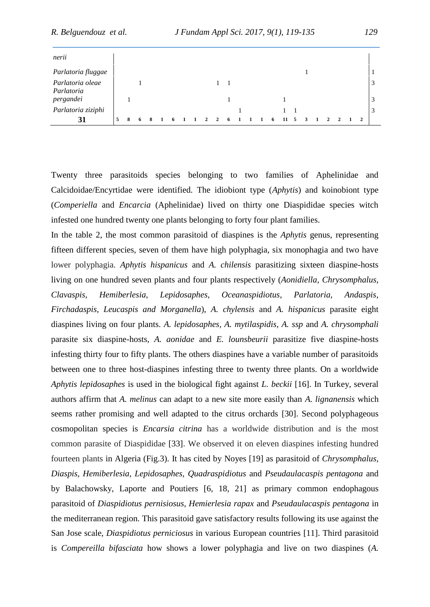| nerii                          |              |   |   |   |   |  |  |   |  |   |    |  |  |  |                |   |
|--------------------------------|--------------|---|---|---|---|--|--|---|--|---|----|--|--|--|----------------|---|
| Parlatoria fluggae             |              |   |   |   |   |  |  |   |  |   |    |  |  |  |                |   |
| Parlatoria oleae<br>Parlatoria |              |   |   |   |   |  |  |   |  |   |    |  |  |  |                | 3 |
| pergandei                      |              |   |   |   |   |  |  |   |  |   |    |  |  |  |                | 3 |
| Parlatoria ziziphi             |              |   |   |   |   |  |  |   |  |   |    |  |  |  |                | 3 |
| 31                             | $\mathbf{z}$ | 8 | 6 | 8 | 6 |  |  | 6 |  | 6 | 11 |  |  |  | $\overline{2}$ |   |

Twenty three parasitoids species belonging to two families of Aphelinidae and Calcidoidae/Encyrtidae were identified. The idiobiont type (*Aphytis*) and koinobiont type (*Comperiella* and *Encarcia* (Aphelinidae) lived on thirty one Diaspididae species witch infested one hundred twenty one plants belonging to forty four plant families.

In the table 2, the most common parasitoid of diaspines is the *Aphytis* genus, representing fifteen different species, seven of them have high polyphagia, six monophagia and two have lower polyphagia. *Aphytis hispanicus* and *A. chilensis* parasitizing sixteen diaspine-hosts living on one hundred seven plants and four plants respectively (*Aonidiella, Chrysomphalus, Clavaspis, Hemiberlesia, Lepidosaphes, Oceanaspidiotus, Parlatoria, Andaspis, Firchadaspis, Leucaspis and Morganella*), *A. chylensis* and *A. hispanicus* parasite eight diaspines living on four plants. *A. lepidosaphes, A. mytilaspidis, A. ssp* and *A. chrysomphali* parasite six diaspine-hosts, *A. aonidae* and *E. lounsbeurii* parasitize five diaspine-hosts infesting thirty four to fifty plants. The others diaspines have a variable number of parasitoids between one to three host-diaspines infesting three to twenty three plants. On a worldwide *Aphytis lepidosaphes* is used in the biological fight against *L. beckii* [16]. In Turkey, several authors affirm that *A. melinus* can adapt to a new site more easily than *A. lignanensis* which seems rather promising and well adapted to the citrus orchards [30]. Second polyphageous cosmopolitan species is *Encarsia citrina* has a worldwide distribution and is the most common parasite of Diaspididae [33]. We observed it on eleven diaspines infesting hundred fourteen plants in Algeria (Fig.3). It has cited by Noyes [19] as parasitoid of *Chrysomphalus, Diaspis, Hemiberlesia, Lepidosaphes, Quadraspidiotus* and *Pseudaulacaspis pentagona* and by Balachowsky, Laporte and Poutiers [6, 18, 21] as primary common endophagous parasitoid of *Diaspidiotus pernisiosus, Hemierlesia rapax* and *Pseudaulacaspis pentagona* in the mediterranean region*.* This parasitoid gave satisfactory results following its use against the San Jose scale, *Diaspidiotus perniciosus* in various European countries [11]. Third parasitoid is *Compereilla bifasciata* how shows a lower polyphagia and live on two diaspines (*A.*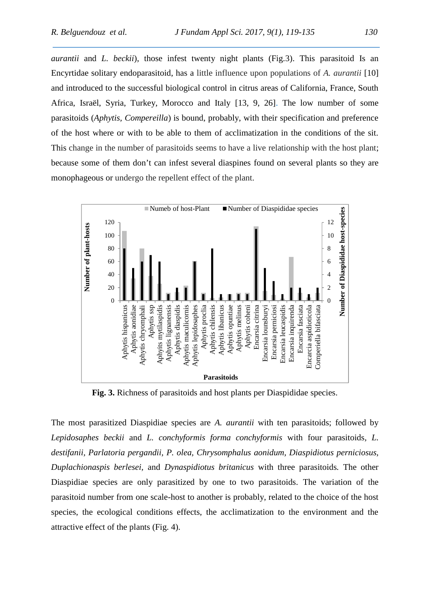*aurantii* and *L. beckii*), those infest twenty night plants (Fig.3). This parasitoid Is an Encyrtidae solitary endoparasitoid, has a little influence upon populations of *A. aurantii* [10] and introduced to the successful biological control in citrus areas of California, France, South Africa, Israël, Syria, Turkey, Morocco and Italy [13, 9, 26]. The low number of some parasitoids (*Aphytis, Compereilla*) is bound, probably, with their specification and preference of the host where or with to be able to them of acclimatization in the conditions of the sit. This change in the number of parasitoids seems to have a live relationship with the host plant; because some of them don't can infest several diaspines found on several plants so they are monophageous or undergo the repellent effect of the plant.



**Fig. 3.** Richness of parasitoids and host plants per Diaspididae species.

The most parasitized Diaspidiae species are *A. aurantii* with ten parasitoids; followed by *Lepidosaphes beckii* and *L. conchyformis forma conchyformis* with four parasitoids*, L. destifanii, Parlatoria pergandii, P. olea, Chrysomphalus aonidum, Diaspidiotus perniciosus, Duplachionaspis berlesei,* and *Dynaspidiotus britanicus* with three parasitoids*.* The other Diaspidiae species are only parasitized by one to two parasitoids*.* The variation of the parasitoid number from one scale-host to another is probably, related to the choice of the host species, the ecological conditions effects, the acclimatization to the environment and the attractive effect of the plants (Fig. 4).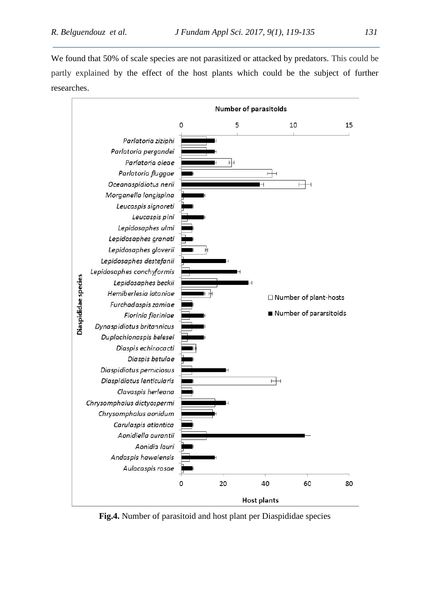We found that 50% of scale species are not parasitized or attacked by predators. This could be partly explained by the effect of the host plants which could be the subject of further researches.



**Fig.4.** Number of parasitoid and host plant per Diaspididae species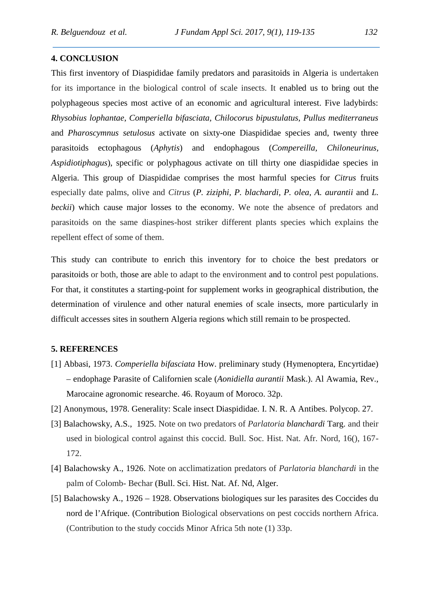#### **4. CONCLUSION**

This first inventory of Diaspididae family predators and parasitoids in Algeria is undertaken for its importance in the biological control of scale insects. It enabled us to bring out the polyphageous species most active of an economic and agricultural interest. Five ladybirds: *Rhysobius lophantae*, *Comperiella bifasciata, Chilocorus bipustulatus, Pullus mediterraneus* and *Pharoscymnus setulosus* activate on sixty-one Diaspididae species and, twenty three parasitoids ectophagous (*Aphytis*) and endophagous (*Compereilla, Chiloneurinus, Aspidiotiphagus*), specific or polyphagous activate on till thirty one diaspididae species in Algeria. This group of Diaspididae comprises the most harmful species for *Citrus* fruits especially date palms, olive and *Citrus* (*P. ziziphi, P. blachardi, P. olea, A. aurantii* and *L. beckii*) which cause major losses to the economy. We note the absence of predators and parasitoids on the same diaspines-host striker different plants species which explains the repellent effect of some of them.

This study can contribute to enrich this inventory for to choice the best predators or parasitoids or both, those are able to adapt to the environment and to control pest populations. For that, it constitutes a starting-point for supplement works in geographical distribution, the determination of virulence and other natural enemies of scale insects, more particularly in difficult accesses sites in southern Algeria regions which still remain to be prospected.

#### **5. REFERENCES**

- [1] Abbasi, 1973. *Comperiella bifasciata* How. preliminary study (Hymenoptera, Encyrtidae) – endophage Parasite of Californien scale (*Aonidiella aurantii* Mask.). Al Awamia, Rev., Marocaine agronomic researche. 46. Royaum of Moroco. 32p.
- [2] Anonymous, 1978. Generality: Scale insect Diaspididae. I. N. R. A Antibes. Polycop. 27.
- [3] Balachowsky, A.S., 1925. Note on two predators of *Parlatoria blanchardi* Targ. and their used in biological control against this coccid. Bull. Soc. Hist. Nat. Afr. Nord, 16(), 167- 172.
- [4] Balachowsky A., 1926. Note on acclimatization predators of *Parlatoria blanchardi* in the palm of Colomb- Bechar (Bull. Sci. Hist. Nat. Af. Nd, Alger.
- [5] Balachowsky A., 1926 1928. Observations biologiques sur les parasites des Coccides du nord de l'Afrique. (Contribution Biological observations on pest coccids northern Africa. (Contribution to the study coccids Minor Africa 5th note (1) 33p.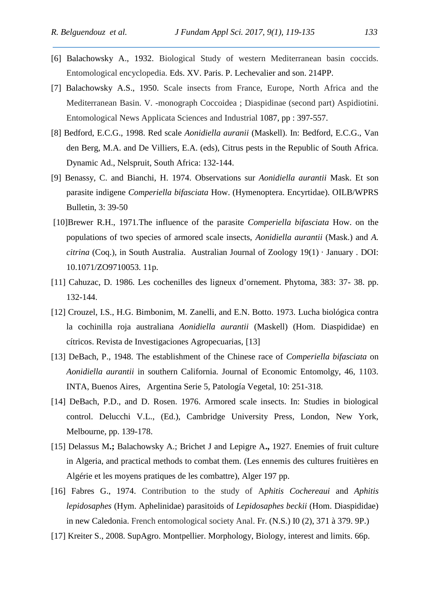- [6] Balachowsky A., 1932. Biological Study of western Mediterranean basin coccids. Entomological encyclopedia. Eds. XV. Paris. P. Lechevalier and son. 214PP.
- [7] Balachowsky A.S., 1950. Scale insects from France, Europe, North Africa and the Mediterranean Basin. V. -monograph Coccoidea ; Diaspidinae (second part) Aspidiotini. Entomological News Applicata Sciences and Industrial 1087, pp : 397-557.
- [8] Bedford, E.C.G., 1998. Red scale *Aonidiella auranii* (Maskell). In: Bedford, E.C.G., Van den Berg, M.A. and De Villiers, E.A. (eds), Citrus pests in the Republic of South Africa. Dynamic Ad., Nelspruit, South Africa: 132-144.
- [9] Benassy, C. and Bianchi, H. 1974. Observations sur *Aonidiella aurantii* Mask. Et son parasite indigene *Comperiella bifasciata* How. (Hymenoptera. Encyrtidae). OILB/WPRS Bulletin, 3: 39-50
- [10]Brewer R.H., 1971.The influence of the parasite *Comperiella bifasciata* How. on the populations of two species of armored scale insects, *Aonidiella aurantii* (Mask.) and *A. citrina* (Coq.), in South Australia. Australian Journal of Zoology 19(1) · January . DOI: 10.1071/ZO9710053. 11p.
- [11] Cahuzac, D. 1986. Les cochenilles des ligneux d'ornement. Phytoma, 383: 37- 38. pp. 132-144.
- [12] Crouzel, I.S., H.G. Bimbonim, M. Zanelli, and E.N. Botto. 1973. Lucha biológica contra la cochinilla roja australiana *Aonidiella aurantii* (Maskell) (Hom. Diaspididae) en cítricos. Revista de Investigaciones Agropecuarias, [13]
- [13] DeBach, P., 1948. The establishment of the Chinese race of *Comperiella bifasciata* on *Aonidiella aurantii* in southern California. Journal of Economic Entomolgy, 46, 1103. INTA, Buenos Aires, Argentina Serie 5, Patología Vegetal, 10: 251-318.
- [14] DeBach, P.D., and D. Rosen. 1976. Armored scale insects. In: Studies in biological control. Delucchi V.L., (Ed.), Cambridge University Press, London, New York, Melbourne, pp. 139-178.
- [15] Delassus M**.;** Balachowsky A.; Brichet J and Lepigre A**.,** 1927*.* Enemies of fruit culture in Algeria, and practical methods to combat them. (Les ennemis des cultures fruitières en Algérie et les moyens pratiques de les combattre), Alger 197 pp.
- [16] Fabres G., 1974. Contribution to the study of A*phitis Cochereaui* and *Aphitis lepidosaphes* (Hym. Aphelinidae) parasitoids of *Lepidosaphes beckii* (Hom. Diaspididae) in new Caledonia. French entomological society Anal. Fr. (N.S.) I0 (2), 371 à 379. 9P.)
- [17] Kreiter S., 2008. SupAgro. Montpellier. Morphology, Biology, interest and limits. 66p.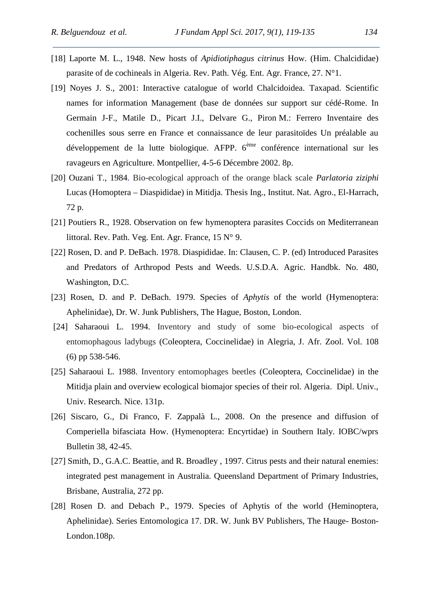- [18] Laporte M. L., 1948. New hosts of *Apidiotiphagus citrinus* How. (Him. Chalcididae) parasite of de cochineals in Algeria. Rev. Path. Vég. Ent. Agr. France, 27. N°1.
- [19] Noyes J. S., 2001: Interactive catalogue of world Chalcidoidea. Taxapad. Scientific names for information Management (base de données sur support sur cédé-Rome. In Germain J-F., Matile D., Picart J.I., Delvare G., Piron M.: Ferrero Inventaire des cochenilles sous serre en France et connaissance de leur parasitoïdes Un préalable au développement de la lutte biologique. AFPP.  $6<sup>eme</sup>$  conférence international sur les ravageurs en Agriculture. Montpellier, 4-5-6 Décembre 2002. 8p.
- [20] Ouzani T., 1984. Bio-ecological approach of the orange black scale *Parlatoria ziziphi* Lucas (Homoptera – Diaspididae) in Mitidja. Thesis Ing., Institut. Nat. Agro., El-Harrach, 72 p.
- [21] Poutiers R., 1928. Observation on few hymenoptera parasites Coccids on Mediterranean littoral. Rev. Path. Veg. Ent. Agr. France, 15 N° 9.
- [22] Rosen, D. and P. DeBach. 1978. Diaspididae. In: Clausen, C. P. (ed) Introduced Parasites and Predators of Arthropod Pests and Weeds. U.S.D.A. Agric. Handbk. No. 480, Washington, D.C.
- [23] Rosen, D. and P. DeBach. 1979. Species of *Aphytis* of the world (Hymenoptera: Aphelinidae), Dr. W. Junk Publishers, The Hague, Boston, London.
- [24] Saharaoui L. 1994. Inventory and study of some bio-ecological aspects of entomophagous ladybugs (Coleoptera, Coccinelidae) in Alegria, J. Afr. Zool. Vol. 108 (6) pp 538-546.
- [25] Saharaoui L. 1988. Inventory entomophages beetles (Coleoptera, Coccinelidae) in the Mitidja plain and overview ecological biomajor species of their rol. Algeria. Dipl. Univ., Univ. Research. Nice. 131p.
- [26] Siscaro, G., Di Franco, F. Zappalà L., 2008. On the presence and diffusion of Comperiella bifasciata How. (Hymenoptera: Encyrtidae) in Southern Italy. IOBC/wprs Bulletin 38, 42-45.
- [27] Smith, D., G.A.C. Beattie, and R. Broadley, 1997. Citrus pests and their natural enemies: integrated pest management in Australia. Queensland Department of Primary Industries, Brisbane, Australia, 272 pp.
- [28] Rosen D. and Debach P., 1979. Species of Aphytis of the world (Heminoptera, Aphelinidae). Series Entomologica 17. DR. W. Junk BV Publishers, The Hauge- Boston- London.108p.